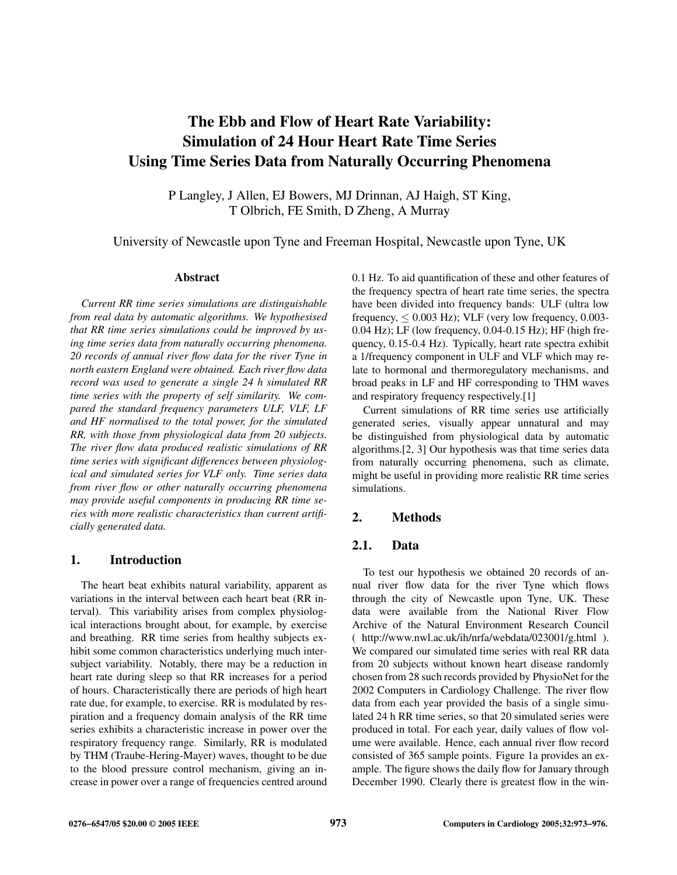# **The Ebb and Flow of Heart Rate Variability: Simulation of 24 Hour Heart Rate Time Series Using Time Series Data from Naturally Occurring Phenomena**

P Langley, J Allen, EJ Bowers, MJ Drinnan, AJ Haigh, ST King, T Olbrich, FE Smith, D Zheng, A Murray

University of Newcastle upon Tyne and Freeman Hospital, Newcastle upon Tyne, UK

#### **Abstract**

*Current RR time series simulations are distinguishable from real data by automatic algorithms. We hypothesised that RR time series simulations could be improved by using time series data from naturally occurring phenomena. 20 records of annual river flow data for the river Tyne in north eastern England were obtained. Each river flow data record was used to generate a single 24 h simulated RR time series with the property of self similarity. We compared the standard frequency parameters ULF, VLF, LF and HF normalised to the total power, for the simulated RR, with those from physiological data from 20 subjects. The river flow data produced realistic simulations of RR time series with significant differences between physiological and simulated series for VLF only. Time series data from river flow or other naturally occurring phenomena may provide useful components in producing RR time series with more realistic characteristics than current artificially generated data.*

#### **1. Introduction**

The heart beat exhibits natural variability, apparent as variations in the interval between each heart beat (RR interval). This variability arises from complex physiological interactions brought about, for example, by exercise and breathing. RR time series from healthy subjects exhibit some common characteristics underlying much intersubject variability. Notably, there may be a reduction in heart rate during sleep so that RR increases for a period of hours. Characteristically there are periods of high heart rate due, for example, to exercise. RR is modulated by respiration and a frequency domain analysis of the RR time series exhibits a characteristic increase in power over the respiratory frequency range. Similarly, RR is modulated by THM (Traube-Hering-Mayer) waves, thought to be due to the blood pressure control mechanism, giving an increase in power over a range of frequencies centred around 0.1 Hz. To aid quantification of these and other features of the frequency spectra of heart rate time series, the spectra have been divided into frequency bands: ULF (ultra low frequency,  $\leq 0.003$  Hz); VLF (very low frequency, 0.003-0.04 Hz); LF (low frequency, 0.04-0.15 Hz); HF (high frequency, 0.15-0.4 Hz). Typically, heart rate spectra exhibit a 1/frequency component in ULF and VLF which may relate to hormonal and thermoregulatory mechanisms, and broad peaks in LF and HF corresponding to THM waves and respiratory frequency respectively.[1]

Current simulations of RR time series use artificially generated series, visually appear unnatural and may be distinguished from physiological data by automatic algorithms.[2, 3] Our hypothesis was that time series data from naturally occurring phenomena, such as climate, might be useful in providing more realistic RR time series simulations.

#### **2. Methods**

# **2.1. Data**

To test our hypothesis we obtained 20 records of annual river flow data for the river Tyne which flows through the city of Newcastle upon Tyne, UK. These data were available from the National River Flow Archive of the Natural Environment Research Council ( http://www.nwl.ac.uk/ih/nrfa/webdata/023001/g.html ). We compared our simulated time series with real RR data from 20 subjects without known heart disease randomly chosen from 28 such records provided by PhysioNet for the 2002 Computers in Cardiology Challenge. The river flow data from each year provided the basis of a single simulated 24 h RR time series, so that 20 simulated series were produced in total. For each year, daily values of flow volume were available. Hence, each annual river flow record consisted of 365 sample points. Figure 1a provides an example. The figure shows the daily flow for January through December 1990. Clearly there is greatest flow in the win-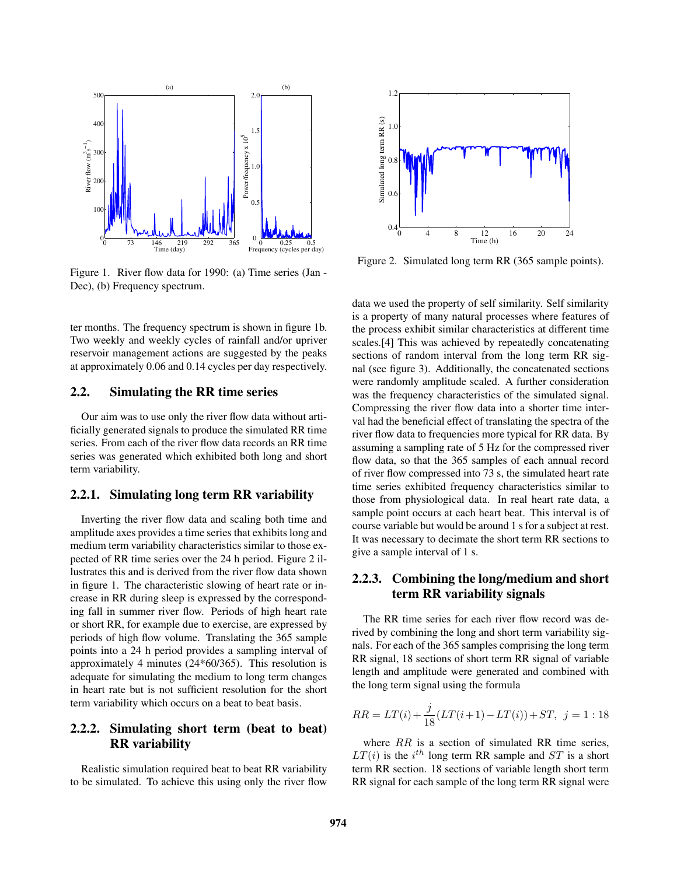

Figure 1. River flow data for 1990: (a) Time series (Jan - Dec), (b) Frequency spectrum.

ter months. The frequency spectrum is shown in figure 1b. Two weekly and weekly cycles of rainfall and/or upriver reservoir management actions are suggested by the peaks at approximately 0.06 and 0.14 cycles per day respectively.

# **2.2. Simulating the RR time series**

Our aim was to use only the river flow data without artificially generated signals to produce the simulated RR time series. From each of the river flow data records an RR time series was generated which exhibited both long and short term variability.

#### **2.2.1. Simulating long term RR variability**

Inverting the river flow data and scaling both time and amplitude axes provides a time series that exhibits long and medium term variability characteristics similar to those expected of RR time series over the 24 h period. Figure 2 illustrates this and is derived from the river flow data shown in figure 1. The characteristic slowing of heart rate or increase in RR during sleep is expressed by the corresponding fall in summer river flow. Periods of high heart rate or short RR, for example due to exercise, are expressed by periods of high flow volume. Translating the 365 sample points into a 24 h period provides a sampling interval of approximately 4 minutes (24\*60/365). This resolution is adequate for simulating the medium to long term changes in heart rate but is not sufficient resolution for the short term variability which occurs on a beat to beat basis.

# **2.2.2. Simulating short term (beat to beat) RR variability**

Realistic simulation required beat to beat RR variability to be simulated. To achieve this using only the river flow



Figure 2. Simulated long term RR (365 sample points).

data we used the property of self similarity. Self similarity is a property of many natural processes where features of the process exhibit similar characteristics at different time scales.[4] This was achieved by repeatedly concatenating sections of random interval from the long term RR signal (see figure 3). Additionally, the concatenated sections were randomly amplitude scaled. A further consideration was the frequency characteristics of the simulated signal. Compressing the river flow data into a shorter time interval had the beneficial effect of translating the spectra of the river flow data to frequencies more typical for RR data. By assuming a sampling rate of 5 Hz for the compressed river flow data, so that the 365 samples of each annual record of river flow compressed into 73 s, the simulated heart rate time series exhibited frequency characteristics similar to those from physiological data. In real heart rate data, a sample point occurs at each heart beat. This interval is of course variable but would be around 1 s for a subject at rest. It was necessary to decimate the short term RR sections to give a sample interval of 1 s.

# **2.2.3. Combining the long/medium and short term RR variability signals**

The RR time series for each river flow record was derived by combining the long and short term variability signals. For each of the 365 samples comprising the long term RR signal, 18 sections of short term RR signal of variable length and amplitude were generated and combined with the long term signal using the formula

$$
RR = LT(i) + \frac{j}{18}(LT(i+1) - LT(i)) + ST, \ \ j = 1:18
$$

where  $RR$  is a section of simulated RR time series,  $LT(i)$  is the  $i^{th}$  long term RR sample and  $ST$  is a short term RR section. 18 sections of variable length short term RR signal for each sample of the long term RR signal were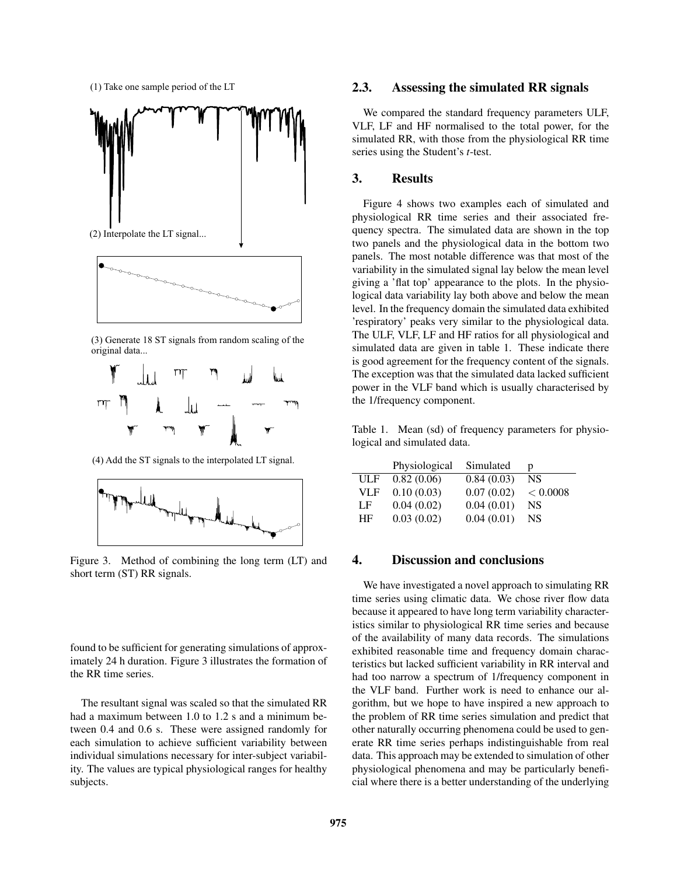(1) Take one sample period of the LT





(3) Generate 18 ST signals from random scaling of the original data...



(4) Add the ST signals to the interpolated LT signal.



Figure 3. Method of combining the long term (LT) and short term (ST) RR signals.

found to be sufficient for generating simulations of approximately 24 h duration. Figure 3 illustrates the formation of the RR time series.

The resultant signal was scaled so that the simulated RR had a maximum between 1.0 to 1.2 s and a minimum between 0.4 and 0.6 s. These were assigned randomly for each simulation to achieve sufficient variability between individual simulations necessary for inter-subject variability. The values are typical physiological ranges for healthy subjects.

#### **2.3. Assessing the simulated RR signals**

We compared the standard frequency parameters ULF, VLF, LF and HF normalised to the total power, for the simulated RR, with those from the physiological RR time series using the Student's *t*-test.

#### **3. Results**

Figure 4 shows two examples each of simulated and physiological RR time series and their associated frequency spectra. The simulated data are shown in the top two panels and the physiological data in the bottom two panels. The most notable difference was that most of the variability in the simulated signal lay below the mean level giving a 'flat top' appearance to the plots. In the physiological data variability lay both above and below the mean level. In the frequency domain the simulated data exhibited 'respiratory' peaks very similar to the physiological data. The ULF, VLF, LF and HF ratios for all physiological and simulated data are given in table 1. These indicate there is good agreement for the frequency content of the signals. The exception was that the simulated data lacked sufficient power in the VLF band which is usually characterised by the 1/frequency component.

Table 1. Mean (sd) of frequency parameters for physiological and simulated data.

|            | Physiological | Simulated  | D         |
|------------|---------------|------------|-----------|
| ULF        | 0.82(0.06)    | 0.84(0.03) | NS.       |
| <b>VLF</b> | 0.10(0.03)    | 0.07(0.02) | < 0.0008  |
| LF         | 0.04(0.02)    | 0.04(0.01) | NS.       |
| <b>HF</b>  | 0.03(0.02)    | 0.04(0.01) | <b>NS</b> |

#### **4. Discussion and conclusions**

We have investigated a novel approach to simulating RR time series using climatic data. We chose river flow data because it appeared to have long term variability characteristics similar to physiological RR time series and because of the availability of many data records. The simulations exhibited reasonable time and frequency domain characteristics but lacked sufficient variability in RR interval and had too narrow a spectrum of 1/frequency component in the VLF band. Further work is need to enhance our algorithm, but we hope to have inspired a new approach to the problem of RR time series simulation and predict that other naturally occurring phenomena could be used to generate RR time series perhaps indistinguishable from real data. This approach may be extended to simulation of other physiological phenomena and may be particularly beneficial where there is a better understanding of the underlying